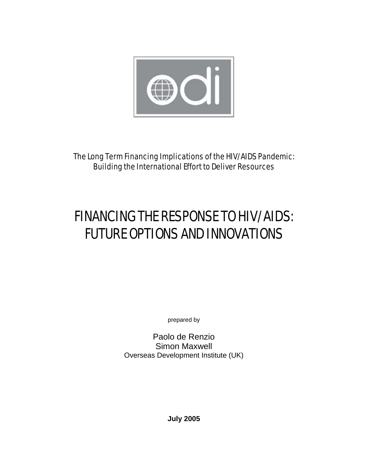

The Long Term Financing Implications of the HIV/AIDS Pandemic: Building the International Effort to Deliver Resources

# FINANCING THE RESPONSE TO HIV/AIDS: FUTURE OPTIONS AND INNOVATIONS

prepared by

Paolo de Renzio Simon Maxwell Overseas Development Institute (UK)

**July 2005**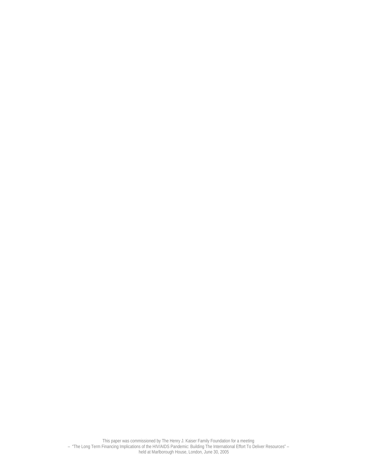This paper was commissioned by The Henry J. Kaiser Family Foundation for a meeting – "The Long Term Financing Implications of the HIV/AIDS Pandemic: Building The International Effort To Deliver Resources" – held at Marlborough House, London, June 30, 2005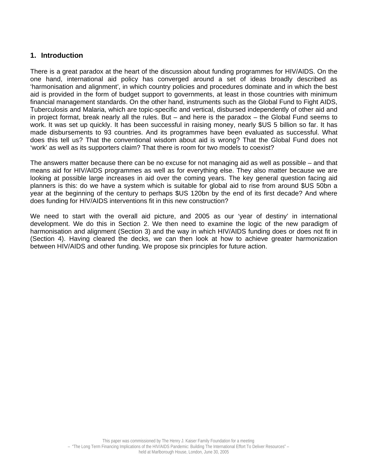## **1. Introduction**

There is a great paradox at the heart of the discussion about funding programmes for HIV/AIDS. On the one hand, international aid policy has converged around a set of ideas broadly described as 'harmonisation and alignment', in which country policies and procedures dominate and in which the best aid is provided in the form of budget support to governments, at least in those countries with minimum financial management standards. On the other hand, instruments such as the Global Fund to Fight AIDS, Tuberculosis and Malaria, which are topic-specific and vertical, disbursed independently of other aid and in project format, break nearly all the rules. But – and here is the paradox – the Global Fund seems to work. It was set up quickly. It has been successful in raising money, nearly \$US 5 billion so far. It has made disbursements to 93 countries. And its programmes have been evaluated as successful. What does this tell us? That the conventional wisdom about aid is wrong? That the Global Fund does not 'work' as well as its supporters claim? That there is room for two models to coexist?

The answers matter because there can be no excuse for not managing aid as well as possible – and that means aid for HIV/AIDS programmes as well as for everything else. They also matter because we are looking at possible large increases in aid over the coming years. The key general question facing aid planners is this: do we have a system which is suitable for global aid to rise from around \$US 50bn a year at the beginning of the century to perhaps \$US 120bn by the end of its first decade? And where does funding for HIV/AIDS interventions fit in this new construction?

We need to start with the overall aid picture, and 2005 as our 'year of destiny' in international development. We do this in Section 2. We then need to examine the logic of the new paradigm of harmonisation and alignment (Section 3) and the way in which HIV/AIDS funding does or does not fit in (Section 4). Having cleared the decks, we can then look at how to achieve greater harmonization between HIV/AIDS and other funding. We propose six principles for future action.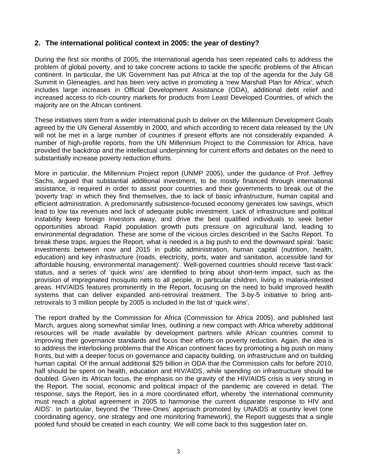# **2. The international political context in 2005: the year of destiny?**

During the first six months of 2005, the international agenda has seen repeated calls to address the problem of global poverty, and to take concrete actions to tackle the specific problems of the African continent. In particular, the UK Government has put Africa at the top of the agenda for the July G8 Summit in Gleneagles, and has been very active in promoting a 'new Marshall Plan for Africa', which includes large increases in Official Development Assistance (ODA), additional debt relief and increased access to rich-country markets for products from Least Developed Countries, of which the majority are on the African continent.

These initiatives stem from a wider international push to deliver on the Millennium Development Goals agreed by the UN General Assembly in 2000, and which according to recent data released by the UN will not be met in a large number of countries if present efforts are not considerably expanded. A number of high-profile reports, from the UN Millennium Project to the Commission for Africa, have provided the backdrop and the intellectual underpinning for current efforts and debates on the need to substantially increase poverty reduction efforts.

More in particular, the Millennium Project report (UNMP 2005), under the guidance of Prof. Jeffrey Sachs, argued that substantial additional investment, to be mostly financed through international assistance, is required in order to assist poor countries and their governments to break out of the 'poverty trap' in which they find themselves, due to lack of basic infrastructure, human capital and efficient administration. A predominantly subsistence-focused economy generates low savings, which lead to low tax revenues and lack of adequate public investment. Lack of infrastructure and political instability keep foreign investors away, and drive the best qualified individuals to seek better opportunities abroad. Rapid population growth puts pressure on agricultural land, leading to environmental degradation. These are some of the vicious circles described in the Sachs Report. To break these traps, argues the Report, what is needed is a big push to end the downward spiral: 'basic investments between now and 2015 in public administration, human capital (nutrition, health, education) and key infrastructure (roads, electricity, ports, water and sanitation, accessible land for affordable housing, environmental management)'. Well-governed countries should receive 'fast-track' status, and a series of 'quick wins' are identified to bring about short-term impact, such as the provision of impregnated mosquito nets to all people, in particular children, living in malaria-infested areas. HIV/AIDS features prominently in the Report, focusing on the need to build improved health systems that can deliver expanded anti-retroviral treatment. The 3-by-5 initiative to bring antiretrovirals to 3 million people by 2005 is included in the list of 'quick wins'.

The report drafted by the Commission for Africa (Commission for Africa 2005), and published last March, argues along somewhat similar lines, outlining a new compact with Africa whereby additional resources will be made available by development partners while African countries commit to improving their governance standards and focus their efforts on poverty reduction. Again, the idea is to address the interlocking problems that the African continent faces by promoting a big push on many fronts, but with a deeper focus on governance and capacity building, on infrastructure and on building human capital. Of the annual additional \$25 billion in ODA that the Commission calls for before 2010, half should be spent on health, education and HIV/AIDS, while spending on infrastructure should be doubled. Given its African focus, the emphasis on the gravity of the HIV/AIDS crisis is very strong in the Report. The social, economic and political impact of the pandemic are covered in detail. The response, says the Report, lies in a more coordinated effort, whereby 'the international community must reach a global agreement in 2005 to harmonise the current disparate response to HIV and AIDS'. In particular, beyond the 'Three-Ones' approach promoted by UNAIDS at country level (one coordinating agency, one strategy and one monitoring framework), the Report suggests that a single pooled fund should be created in each country. We will come back to this suggestion later on.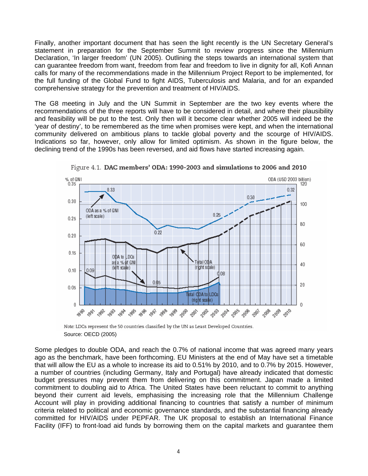Finally, another important document that has seen the light recently is the UN Secretary General's statement in preparation for the September Summit to review progress since the Millennium Declaration, 'In larger freedom' (UN 2005). Outlining the steps towards an international system that can guarantee freedom from want, freedom from fear and freedom to live in dignity for all, Kofi Annan calls for many of the recommendations made in the Millennium Project Report to be implemented, for the full funding of the Global Fund to fight AIDS, Tuberculosis and Malaria, and for an expanded comprehensive strategy for the prevention and treatment of HIV/AIDS.

The G8 meeting in July and the UN Summit in September are the two key events where the recommendations of the three reports will have to be considered in detail, and where their plausibility and feasibility will be put to the test. Only then will it become clear whether 2005 will indeed be the 'year of destiny', to be remembered as the time when promises were kept, and when the international community delivered on ambitious plans to tackle global poverty and the scourge of HIV/AIDS. Indications so far, however, only allow for limited optimism. As shown in the figure below, the declining trend of the 1990s has been reversed, and aid flows have started increasing again.



Figure 4.1. DAC members' ODA: 1990-2003 and simulations to 2006 and 2010

Note: LDCs represent the 50 countries classified by the UN as Least Developed Countries. Source: OECD (2005)

Some pledges to double ODA, and reach the 0.7% of national income that was agreed many years ago as the benchmark, have been forthcoming. EU Ministers at the end of May have set a timetable that will allow the EU as a whole to increase its aid to 0.51% by 2010, and to 0.7% by 2015. However, a number of countries (including Germany, Italy and Portugal) have already indicated that domestic budget pressures may prevent them from delivering on this commitment. Japan made a limited commitment to doubling aid to Africa. The United States have been reluctant to commit to anything beyond their current aid levels, emphasising the increasing role that the Millennium Challenge Account will play in providing additional financing to countries that satisfy a number of minimum criteria related to political and economic governance standards, and the substantial financing already committed for HIV/AIDS under PEPFAR. The UK proposal to establish an International Finance Facility (IFF) to front-load aid funds by borrowing them on the capital markets and guarantee them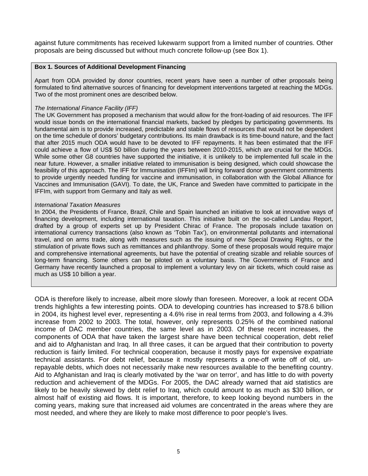against future commitments has received lukewarm support from a limited number of countries. Other proposals are being discussed but without much concrete follow-up (see Box 1).

#### **Box 1. Sources of Additional Development Financing**

Apart from ODA provided by donor countries, recent years have seen a number of other proposals being formulated to find alternative sources of financing for development interventions targeted at reaching the MDGs. Two of the most prominent ones are described below.

#### *The International Finance Facility (IFF)*

The UK Government has proposed a mechanism that would allow for the front-loading of aid resources. The IFF would issue bonds on the international financial markets, backed by pledges by participating governments. Its fundamental aim is to provide increased, predictable and stable flows of resources that would not be dependent on the time schedule of donors' budgetary contributions. Its main drawback is its time-bound nature, and the fact that after 2015 much ODA would have to be devoted to IFF repayments. It has been estimated that the IFF could achieve a flow of US\$ 50 billion during the years between 2010-2015, which are crucial for the MDGs. While some other G8 countries have supported the initiative, it is unlikely to be implemented full scale in the near future. However, a smaller initiative related to immunisation is being designed, which could showcase the feasibility of this approach. The IFF for Immunisation (IFFIm) will bring forward donor government commitments to provide urgently needed funding for vaccine and immunisation, in collaboration with the Global Alliance for Vaccines and Immunisation (GAVI). To date, the UK, France and Sweden have committed to participate in the IFFIm, with support from Germany and Italy as well.

#### *International Taxation Measures*

In 2004, the Presidents of France, Brazil, Chile and Spain launched an initiative to look at innovative ways of financing development, including international taxation. This initiative built on the so-called Landau Report, drafted by a group of experts set up by President Chirac of France. The proposals include taxation on international currency transactions (also known as 'Tobin Tax'), on environmental pollutants and international travel, and on arms trade, along with measures such as the issuing of new Special Drawing Rights, or the stimulation of private flows such as remittances and philanthropy. Some of these proposals would require major and comprehensive international agreements, but have the potential of creating sizable and reliable sources of long-term financing. Some others can be piloted on a voluntary basis. The Governments of France and Germany have recently launched a proposal to implement a voluntary levy on air tickets, which could raise as much as US\$ 10 billion a year.

ODA is therefore likely to increase, albeit more slowly than foreseen. Moreover, a look at recent ODA trends highlights a few interesting points. ODA to developing countries has increased to \$78.6 billion in 2004, its highest level ever, representing a 4.6% rise in real terms from 2003, and following a 4.3% increase from 2002 to 2003. The total, however, only represents 0.25% of the combined national income of DAC member countries, the same level as in 2003. Of these recent increases, the components of ODA that have taken the largest share have been technical cooperation, debt relief and aid to Afghanistan and Iraq. In all three cases, it can be argued that their contribution to poverty reduction is fairly limited. For technical cooperation, because it mostly pays for expensive expatriate technical assistants. For debt relief, because it mostly represents a one-off write off of old, unrepayable debts, which does not necessarily make new resources available to the benefiting country. Aid to Afghanistan and Iraq is clearly motivated by the 'war on terror', and has little to do with poverty reduction and achievement of the MDGs. For 2005, the DAC already warned that aid statistics are likely to be heavily skewed by debt relief to Iraq, which could amount to as much as \$30 billion, or almost half of existing aid flows. It is important, therefore, to keep looking beyond numbers in the coming years, making sure that increased aid volumes are concentrated in the areas where they are most needed, and where they are likely to make most difference to poor people's lives.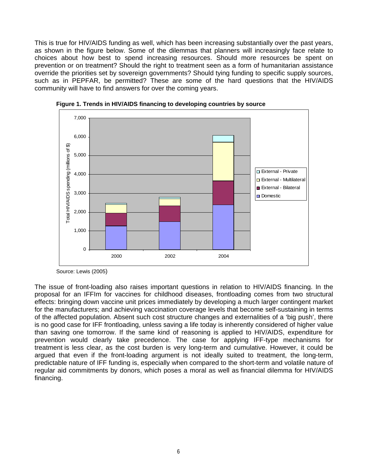This is true for HIV/AIDS funding as well, which has been increasing substantially over the past years, as shown in the figure below. Some of the dilemmas that planners will increasingly face relate to choices about how best to spend increasing resources. Should more resources be spent on prevention or on treatment? Should the right to treatment seen as a form of humanitarian assistance override the priorities set by sovereign governments? Should tying funding to specific supply sources, such as in PEPFAR, be permitted? These are some of the hard questions that the HIV/AIDS community will have to find answers for over the coming years.





Source: Lewis (2005)

The issue of front-loading also raises important questions in relation to HIV/AIDS financing. In the proposal for an IFFIm for vaccines for childhood diseases, frontloading comes from two structural effects: bringing down vaccine unit prices immediately by developing a much larger contingent market for the manufacturers; and achieving vaccination coverage levels that become self-sustaining in terms of the affected population. Absent such cost structure changes and externalities of a 'big push', there is no good case for IFF frontloading, unless saving a life today is inherently considered of higher value than saving one tomorrow. If the same kind of reasoning is applied to HIV/AIDS, expenditure for prevention would clearly take precedence. The case for applying IFF-type mechanisms for treatment is less clear, as the cost burden is very long-term and cumulative. However, it could be argued that even if the front-loading argument is not ideally suited to treatment, the long-term, predictable nature of IFF funding is, especially when compared to the short-term and volatile nature of regular aid commitments by donors, which poses a moral as well as financial dilemma for HIV/AIDS financing.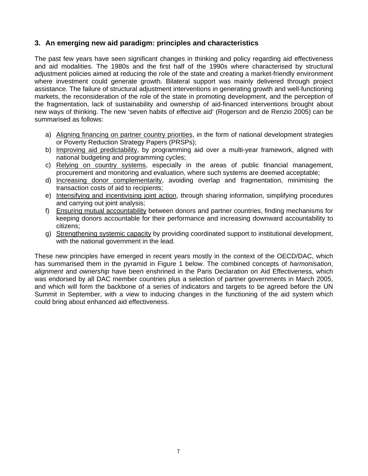# **3. An emerging new aid paradigm: principles and characteristics**

The past few years have seen significant changes in thinking and policy regarding aid effectiveness and aid modalities. The 1980s and the first half of the 1990s where characterised by structural adjustment policies aimed at reducing the role of the state and creating a market-friendly environment where investment could generate growth. Bilateral support was mainly delivered through project assistance. The failure of structural adjustment interventions in generating growth and well-functioning markets, the reconsideration of the role of the state in promoting development, and the perception of the fragmentation, lack of sustainability and ownership of aid-financed interventions brought about new ways of thinking. The new 'seven habits of effective aid' (Rogerson and de Renzio 2005) can be summarised as follows:

- a) Aligning financing on partner country priorities, in the form of national development strategies or Poverty Reduction Strategy Papers (PRSPs);
- b) Improving aid predictability, by programming aid over a multi-year framework, aligned with national budgeting and programming cycles;
- c) Relying on country systems, especially in the areas of public financial management, procurement and monitoring and evaluation, where such systems are deemed acceptable;
- d) Increasing donor complementarity, avoiding overlap and fragmentation, minimising the transaction costs of aid to recipients;
- e) Intensifying and incentivising joint action, through sharing information, simplifying procedures and carrying out joint analysis;
- f) Ensuring mutual accountability between donors and partner countries, finding mechanisms for keeping donors accountable for their performance and increasing downward accountability to citizens;
- g) Strengthening systemic capacity by providing coordinated support to institutional development, with the national government in the lead.

These new principles have emerged in recent years mostly in the context of the OECD/DAC, which has summarised them in the pyramid in Figure 1 below. The combined concepts of *harmonisation*, *alignment* and *ownership* have been enshrined in the Paris Declaration on Aid Effectiveness, which was endorsed by all DAC member countries plus a selection of partner governments in March 2005, and which will form the backbone of a series of indicators and targets to be agreed before the UN Summit in September, with a view to inducing changes in the functioning of the aid system which could bring about enhanced aid effectiveness.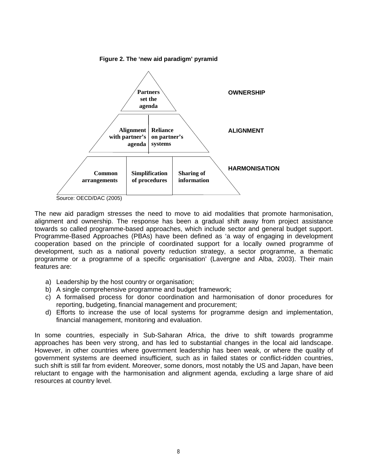

**Figure 2. The 'new aid paradigm' pyramid** 

Source: OECD/DAC (2005)

The new aid paradigm stresses the need to move to aid modalities that promote harmonisation, alignment and ownership. The response has been a gradual shift away from project assistance towards so called programme-based approaches, which include sector and general budget support. Programme-Based Approaches (PBAs) have been defined as 'a way of engaging in development cooperation based on the principle of coordinated support for a locally owned programme of development, such as a national poverty reduction strategy, a sector programme, a thematic programme or a programme of a specific organisation' (Lavergne and Alba, 2003). Their main features are:

- a) Leadership by the host country or organisation;
- b) A single comprehensive programme and budget framework;
- c) A formalised process for donor coordination and harmonisation of donor procedures for reporting, budgeting, financial management and procurement;
- d) Efforts to increase the use of local systems for programme design and implementation, financial management, monitoring and evaluation.

In some countries, especially in Sub-Saharan Africa, the drive to shift towards programme approaches has been very strong, and has led to substantial changes in the local aid landscape. However, in other countries where government leadership has been weak, or where the quality of government systems are deemed insufficient, such as in failed states or conflict-ridden countries, such shift is still far from evident. Moreover, some donors, most notably the US and Japan, have been reluctant to engage with the harmonisation and alignment agenda, excluding a large share of aid resources at country level.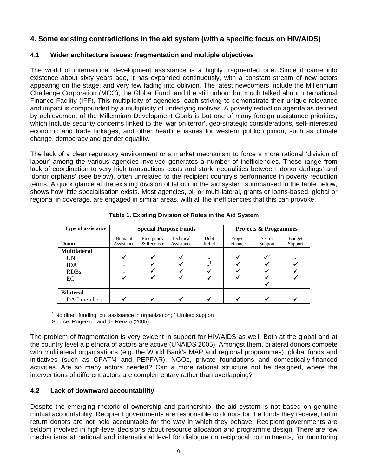# **4. Some existing contradictions in the aid system (with a specific focus on HIV/AIDS)**

## **4.1 Wider architecture issues: fragmentation and multiple objectives**

The world of international development assistance is a highly fragmented one. Since it came into existence about sixty years ago, it has expanded continuously, with a constant stream of new actors appearing on the stage, and very few fading into oblivion. The latest newcomers include the Millennium Challenge Corporation (MCC), the Global Fund, and the still unborn but much talked about International Finance Facility (IFF). This multiplicity of agencies, each striving to demonstrate their unique relevance and impact is compounded by a multiplicity of underlying motives. A poverty reduction agenda as defined by achievement of the Millennium Development Goals is but one of many foreign assistance priorities, which include security concerns linked to the 'war on terror', geo-strategic considerations, self-interested economic and trade linkages, and other headline issues for western public opinion, such as climate change, democracy and gender equality.

The lack of a clear regulatory environment or a market mechanism to force a more rational 'division of labour' among the various agencies involved generates a number of inefficiencies. These range from lack of coordination to very high transactions costs and stark inequalities between 'donor darlings' and 'donor orphans' (see below), often unrelated to the recipient country's performance in poverty reduction terms. A quick glance at the existing division of labour in the aid system summarised in the table below, shows how little specialisation exists. Most agencies, bi- or multi-lateral, grants or loans-based, global or regional in coverage, are engaged in similar areas, with all the inefficiencies that this can provoke.

| Type of assistance  | <b>Special Purpose Funds</b> |                         |                         |                | <b>Projects &amp; Programmes</b> |                   |                          |
|---------------------|------------------------------|-------------------------|-------------------------|----------------|----------------------------------|-------------------|--------------------------|
| <b>Donor</b>        | Humanit<br>Assistance        | Emergency<br>& Reconstr | Technical<br>Assistance | Debt<br>Relief | Project<br>Finance               | Sector<br>Support | <b>Budget</b><br>Support |
| <b>Multilateral</b> |                              |                         |                         |                |                                  |                   |                          |
| UN                  |                              |                         | $\checkmark$            |                |                                  | $\mathcal{I}^2$   |                          |
| <b>IDA</b>          |                              |                         |                         |                |                                  |                   |                          |
| <b>RDBs</b>         |                              |                         |                         |                |                                  |                   |                          |
| EC                  |                              |                         |                         |                |                                  |                   |                          |
|                     |                              |                         |                         |                |                                  |                   |                          |
| <b>Bilateral</b>    |                              |                         |                         |                |                                  |                   |                          |
| DAC members         |                              |                         |                         |                |                                  |                   |                          |

**Table 1. Existing Division of Roles in the Aid System**

 $1$  No direct funding, but assistance in organization;  $2$  Limited support Source: Rogerson and de Renzio (2005)

The problem of fragmentation is very evident in support for HIV/AIDS as well. Both at the global and at the country level a plethora of actors are active (UNAIDS 2005). Amongst them, bilateral donors compete with multilateral organisations (e.g. the World Bank's MAP and regional programmes), global funds and initiatives (such as GFATM and PEPFAR), NGOs, private foundations and domestically-financed activities. Are so many actors needed? Can a more rational structure not be designed, where the interventions of different actors are complementary rather than overlapping?

# **4.2 Lack of downward accountability**

Despite the emerging rhetoric of ownership and partnership, the aid system is not based on genuine mutual accountability. Recipient governments are responsible to donors for the funds they receive, but in return donors are not held accountable for the way in which they behave. Recipient governments are seldom involved in high-level decisions about resource allocation and programme design. There are few mechanisms at national and international level for dialogue on reciprocal commitments, for monitoring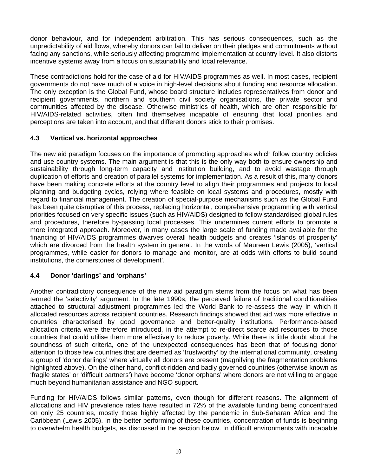donor behaviour, and for independent arbitration. This has serious consequences, such as the unpredictability of aid flows, whereby donors can fail to deliver on their pledges and commitments without facing any sanctions, while seriously affecting programme implementation at country level. It also distorts incentive systems away from a focus on sustainability and local relevance.

These contradictions hold for the case of aid for HIV/AIDS programmes as well. In most cases, recipient governments do not have much of a voice in high-level decisions about funding and resource allocation. The only exception is the Global Fund, whose board structure includes representatives from donor and recipient governments, northern and southern civil society organisations, the private sector and communities affected by the disease. Otherwise ministries of health, which are often responsible for HIV/AIDS-related activities, often find themselves incapable of ensuring that local priorities and perceptions are taken into account, and that different donors stick to their promises.

# **4.3 Vertical vs. horizontal approaches**

The new aid paradigm focuses on the importance of promoting approaches which follow country policies and use country systems. The main argument is that this is the only way both to ensure ownership and sustainability through long-term capacity and institution building, and to avoid wastage through duplication of efforts and creation of parallel systems for implementation. As a result of this, many donors have been making concrete efforts at the country level to align their programmes and projects to local planning and budgeting cycles, relying where feasible on local systems and procedures, mostly with regard to financial management. The creation of special-purpose mechanisms such as the Global Fund has been quite disruptive of this process, replacing horizontal, comprehensive programming with vertical priorities focused on very specific issues (such as HIV/AIDS) designed to follow standardised global rules and procedures, therefore by-passing local processes. This undermines current efforts to promote a more integrated approach. Moreover, in many cases the large scale of funding made available for the financing of HIV/AIDS programmes dwarves overall health budgets and creates 'islands of prosperity' which are divorced from the health system in general. In the words of Maureen Lewis (2005), 'vertical programmes, while easier for donors to manage and monitor, are at odds with efforts to build sound institutions, the cornerstones of development'.

# **4.4 Donor 'darlings' and 'orphans'**

Another contradictory consequence of the new aid paradigm stems from the focus on what has been termed the 'selectivity' argument. In the late 1990s, the perceived failure of traditional conditionalities attached to structural adjustment programmes led the World Bank to re-assess the way in which it allocated resources across recipient countries. Research findings showed that aid was more effective in countries characterised by good governance and better-quality institutions. Performance-based allocation criteria were therefore introduced, in the attempt to re-direct scarce aid resources to those countries that could utilise them more effectively to reduce poverty. While there is little doubt about the soundness of such criteria, one of the unexpected consequences has been that of focusing donor attention to those few countries that are deemed as 'trustworthy' by the international community, creating a group of 'donor darlings' where virtually all donors are present (magnifying the fragmentation problems highlighted above). On the other hand, conflict-ridden and badly governed countries (otherwise known as 'fragile states' or 'difficult partners') have become 'donor orphans' where donors are not willing to engage much beyond humanitarian assistance and NGO support.

Funding for HIV/AIDS follows similar patterns, even though for different reasons. The alignment of allocations and HIV prevalence rates have resulted in 72% of the available funding being concentrated on only 25 countries, mostly those highly affected by the pandemic in Sub-Saharan Africa and the Caribbean (Lewis 2005). In the better performing of these countries, concentration of funds is beginning to overwhelm health budgets, as discussed in the section below. In difficult environments with incapable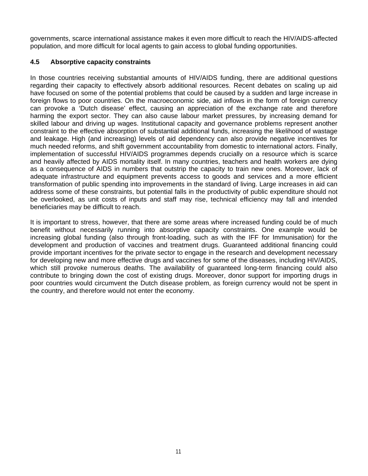governments, scarce international assistance makes it even more difficult to reach the HIV/AIDS-affected population, and more difficult for local agents to gain access to global funding opportunities.

## **4.5 Absorptive capacity constraints**

In those countries receiving substantial amounts of HIV/AIDS funding, there are additional questions regarding their capacity to effectively absorb additional resources. Recent debates on scaling up aid have focused on some of the potential problems that could be caused by a sudden and large increase in foreign flows to poor countries. On the macroeconomic side, aid inflows in the form of foreign currency can provoke a 'Dutch disease' effect, causing an appreciation of the exchange rate and therefore harming the export sector. They can also cause labour market pressures, by increasing demand for skilled labour and driving up wages. Institutional capacity and governance problems represent another constraint to the effective absorption of substantial additional funds, increasing the likelihood of wastage and leakage. High (and increasing) levels of aid dependency can also provide negative incentives for much needed reforms, and shift government accountability from domestic to international actors. Finally, implementation of successful HIV/AIDS programmes depends crucially on a resource which is scarce and heavily affected by AIDS mortality itself. In many countries, teachers and health workers are dying as a consequence of AIDS in numbers that outstrip the capacity to train new ones. Moreover, lack of adequate infrastructure and equipment prevents access to goods and services and a more efficient transformation of public spending into improvements in the standard of living. Large increases in aid can address some of these constraints, but potential falls in the productivity of public expenditure should not be overlooked, as unit costs of inputs and staff may rise, technical efficiency may fall and intended beneficiaries may be difficult to reach.

It is important to stress, however, that there are some areas where increased funding could be of much benefit without necessarily running into absorptive capacity constraints. One example would be increasing global funding (also through front-loading, such as with the IFF for Immunisation) for the development and production of vaccines and treatment drugs. Guaranteed additional financing could provide important incentives for the private sector to engage in the research and development necessary for developing new and more effective drugs and vaccines for some of the diseases, including HIV/AIDS, which still provoke numerous deaths. The availability of guaranteed long-term financing could also contribute to bringing down the cost of existing drugs. Moreover, donor support for importing drugs in poor countries would circumvent the Dutch disease problem, as foreign currency would not be spent in the country, and therefore would not enter the economy.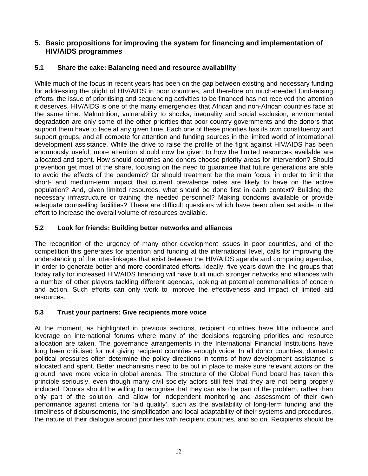# **5. Basic propositions for improving the system for financing and implementation of HIV/AIDS programmes**

# **5.1 Share the cake: Balancing need and resource availability**

While much of the focus in recent years has been on the gap between existing and necessary funding for addressing the plight of HIV/AIDS in poor countries, and therefore on much-needed fund-raising efforts, the issue of prioritising and sequencing activities to be financed has not received the attention it deserves. HIV/AIDS is one of the many emergencies that African and non-African countries face at the same time. Malnutrition, vulnerability to shocks, inequality and social exclusion, environmental degradation are only some of the other priorities that poor country governments and the donors that support them have to face at any given time. Each one of these priorities has its own constituency and support groups, and all compete for attention and funding sources in the limited world of international development assistance. While the drive to raise the profile of the fight against HIV/AIDS has been enormously useful, more attention should now be given to how the limited resources available are allocated and spent. How should countries and donors choose priority areas for intervention? Should prevention get most of the share, focusing on the need to guarantee that future generations are able to avoid the effects of the pandemic? Or should treatment be the main focus, in order to limit the short- and medium-term impact that current prevalence rates are likely to have on the active population? And, given limited resources, what should be done first in each context? Building the necessary infrastructure or training the needed personnel? Making condoms available or provide adequate counselling facilities? These are difficult questions which have been often set aside in the effort to increase the overall volume of resources available.

# **5.2 Look for friends: Building better networks and alliances**

The recognition of the urgency of many other development issues in poor countries, and of the competition this generates for attention and funding at the international level, calls for improving the understanding of the inter-linkages that exist between the HIV/AIDS agenda and competing agendas, in order to generate better and more coordinated efforts. Ideally, five years down the line groups that today rally for increased HIV/AIDS financing will have built much stronger networks and alliances with a number of other players tackling different agendas, looking at potential commonalities of concern and action. Such efforts can only work to improve the effectiveness and impact of limited aid resources.

# **5.3 Trust your partners: Give recipients more voice**

At the moment, as highlighted in previous sections, recipient countries have little influence and leverage on international forums where many of the decisions regarding priorities and resource allocation are taken. The governance arrangements in the International Financial Institutions have long been criticised for not giving recipient countries enough voice. In all donor countries, domestic political pressures often determine the policy directions in terms of how development assistance is allocated and spent. Better mechanisms need to be put in place to make sure relevant actors on the ground have more voice in global arenas. The structure of the Global Fund board has taken this principle seriously, even though many civil society actors still feel that they are not being properly included. Donors should be willing to recognise that they can also be part of the problem, rather than only part of the solution, and allow for independent monitoring and assessment of their own performance against criteria for 'aid quality', such as the availability of long-term funding and the timeliness of disbursements, the simplification and local adaptability of their systems and procedures, the nature of their dialogue around priorities with recipient countries, and so on. Recipients should be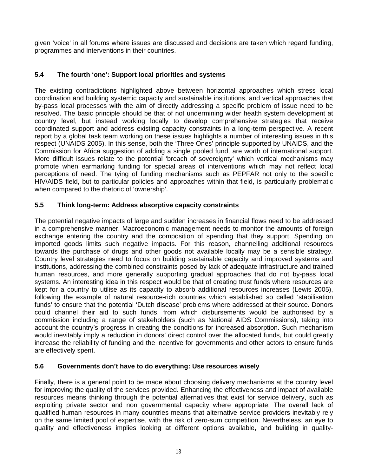given 'voice' in all forums where issues are discussed and decisions are taken which regard funding, programmes and interventions in their countries.

# **5.4 The fourth 'one': Support local priorities and systems**

The existing contradictions highlighted above between horizontal approaches which stress local coordination and building systemic capacity and sustainable institutions, and vertical approaches that by-pass local processes with the aim of directly addressing a specific problem of issue need to be resolved. The basic principle should be that of not undermining wider health system development at country level, but instead working locally to develop comprehensive strategies that receive coordinated support and address existing capacity constraints in a long-term perspective. A recent report by a global task team working on these issues highlights a number of interesting issues in this respect (UNAIDS 2005). In this sense, both the 'Three Ones' principle supported by UNAIDS, and the Commission for Africa suggestion of adding a single pooled fund, are worth of international support. More difficult issues relate to the potential 'breach of sovereignty' which vertical mechanisms may promote when earmarking funding for special areas of interventions which may not reflect local perceptions of need. The tying of funding mechanisms such as PEPFAR not only to the specific HIV/AIDS field, but to particular policies and approaches within that field, is particularly problematic when compared to the rhetoric of 'ownership'.

# **5.5 Think long-term: Address absorptive capacity constraints**

The potential negative impacts of large and sudden increases in financial flows need to be addressed in a comprehensive manner. Macroeconomic management needs to monitor the amounts of foreign exchange entering the country and the composition of spending that they support. Spending on imported goods limits such negative impacts. For this reason, channelling additional resources towards the purchase of drugs and other goods not available locally may be a sensible strategy. Country level strategies need to focus on building sustainable capacity and improved systems and institutions, addressing the combined constraints posed by lack of adequate infrastructure and trained human resources, and more generally supporting gradual approaches that do not by-pass local systems. An interesting idea in this respect would be that of creating trust funds where resources are kept for a country to utilise as its capacity to absorb additional resources increases (Lewis 2005), following the example of natural resource-rich countries which established so called 'stabilisation funds' to ensure that the potential 'Dutch disease' problems where addressed at their source. Donors could channel their aid to such funds, from which disbursements would be authorised by a commission including a range of stakeholders (such as National AIDS Commissions), taking into account the country's progress in creating the conditions for increased absorption. Such mechanism would inevitably imply a reduction in donors' direct control over the allocated funds, but could greatly increase the reliability of funding and the incentive for governments and other actors to ensure funds are effectively spent.

# **5.6 Governments don't have to do everything: Use resources wisely**

Finally, there is a general point to be made about choosing delivery mechanisms at the country level for improving the quality of the services provided. Enhancing the effectiveness and impact of available resources means thinking through the potential alternatives that exist for service delivery, such as exploiting private sector and non governmental capacity where appropriate. The overall lack of qualified human resources in many countries means that alternative service providers inevitably rely on the same limited pool of expertise, with the risk of zero-sum competition. Nevertheless, an eye to quality and effectiveness implies looking at different options available, and building in quality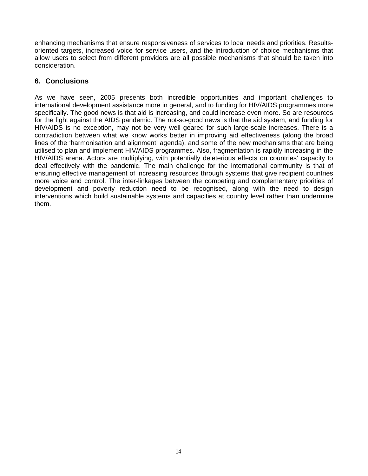enhancing mechanisms that ensure responsiveness of services to local needs and priorities. Resultsoriented targets, increased voice for service users, and the introduction of choice mechanisms that allow users to select from different providers are all possible mechanisms that should be taken into consideration.

# **6. Conclusions**

As we have seen, 2005 presents both incredible opportunities and important challenges to international development assistance more in general, and to funding for HIV/AIDS programmes more specifically. The good news is that aid is increasing, and could increase even more. So are resources for the fight against the AIDS pandemic. The not-so-good news is that the aid system, and funding for HIV/AIDS is no exception, may not be very well geared for such large-scale increases. There is a contradiction between what we know works better in improving aid effectiveness (along the broad lines of the 'harmonisation and alignment' agenda), and some of the new mechanisms that are being utilised to plan and implement HIV/AIDS programmes. Also, fragmentation is rapidly increasing in the HIV/AIDS arena. Actors are multiplying, with potentially deleterious effects on countries' capacity to deal effectively with the pandemic. The main challenge for the international community is that of ensuring effective management of increasing resources through systems that give recipient countries more voice and control. The inter-linkages between the competing and complementary priorities of development and poverty reduction need to be recognised, along with the need to design interventions which build sustainable systems and capacities at country level rather than undermine them.